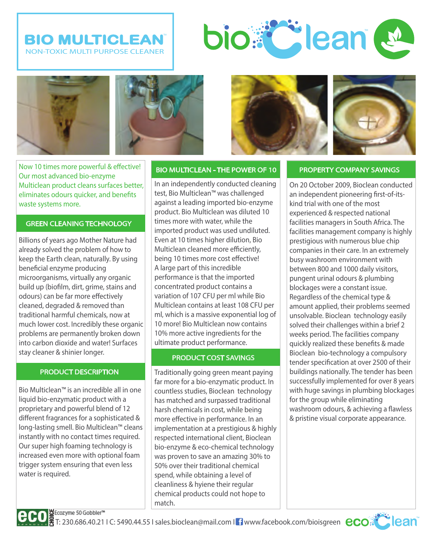# **BIO MULTICLEAN** NON-TOXIC MULTI PURPOSE CLEANER





Now 10 times more powerful & effective! Our most advanced bio-enzyme Multiclean product cleans surfaces better, eliminates odours quicker, and benefits waste systems more.

### GREEN CLEANING TECHNOLOGY

Billions of years ago Mother Nature had already solved the problem of how to keep the Earth clean, naturally. By using beneficial enzyme producing microorganisms, virtually any organic build up (biofilm, dirt, grime, stains and odours) can be far more effectively cleaned, degraded & removed than traditional harmful chemicals, now at much lower cost. Incredibly these organic problems are permanently broken down into carbon dioxide and water! Surfaces stay cleaner & shinier longer.

#### PRODUCT DESCRIPTION

Bio Multiclean™ is an incredible all in one liquid bio-enzymatic product with a proprietary and powerful blend of 12 different fragrances for a sophisticated & long-lasting smell. Bio Multiclean™ cleans instantly with no contact times required. Our super high foaming technology is increased even more with optional foam trigger system ensuring that even less water is required.



In an independently conducted cleaning test, Bio Multiclean™ was challenged against a leading imported bio-enzyme product. Bio Multiclean was diluted 10 times more with water, while the imported product was used undiluted. Even at 10 times higher dilution, Bio Multiclean cleaned more efficiently, being 10 times more cost effective! A large part of this incredible performance is that the imported concentrated product contains a variation of 107 CFU per ml while Bio Multiclean contains at least 108 CFU per ml, which is a massive exponential log of 10 more! Bio Multiclean now contains 10% more active ingredients for the ultimate product performance.

## PRODUCT COST SAVINGS

Traditionally going green meant paying far more for a bio-enzymatic product. In countless studies, Bioclean technology has matched and surpassed traditional harsh chemicals in cost, while being more effective in performance. In an implementation at a prestigious & highly respected international client, Bioclean bio-enzyme & eco-chemical technology was proven to save an amazing 30% to 50% over their traditional chemical spend, while obtaining a level of cleanliness & hyiene their regular chemical products could not hope to match.





On 20 October 2009, Bioclean conducted an independent pioneering first-of-itskind trial with one of the most experienced & respected national facilities managers in South Africa. The facilities management company is highly prestigious with numerous blue chip companies in their care. In an extremely busy washroom environment with between 800 and 1000 daily visitors, pungent urinal odours & plumbing blockages were a constant issue. Regardless of the chemical type & amount applied, their problems seemed unsolvable. Bioclean technology easily solved their challenges within a brief 2 weeks period. The facilities company quickly realized these benefits & made Bioclean bio-technology a compulsory tender specification at over 2500 of their buildings nationally. The tender has been successfully implemented for over 8 years with huge savings in plumbing blockages for the group while eliminating washroom odours, & achieving a flawless & pristine visual corporate appearance.